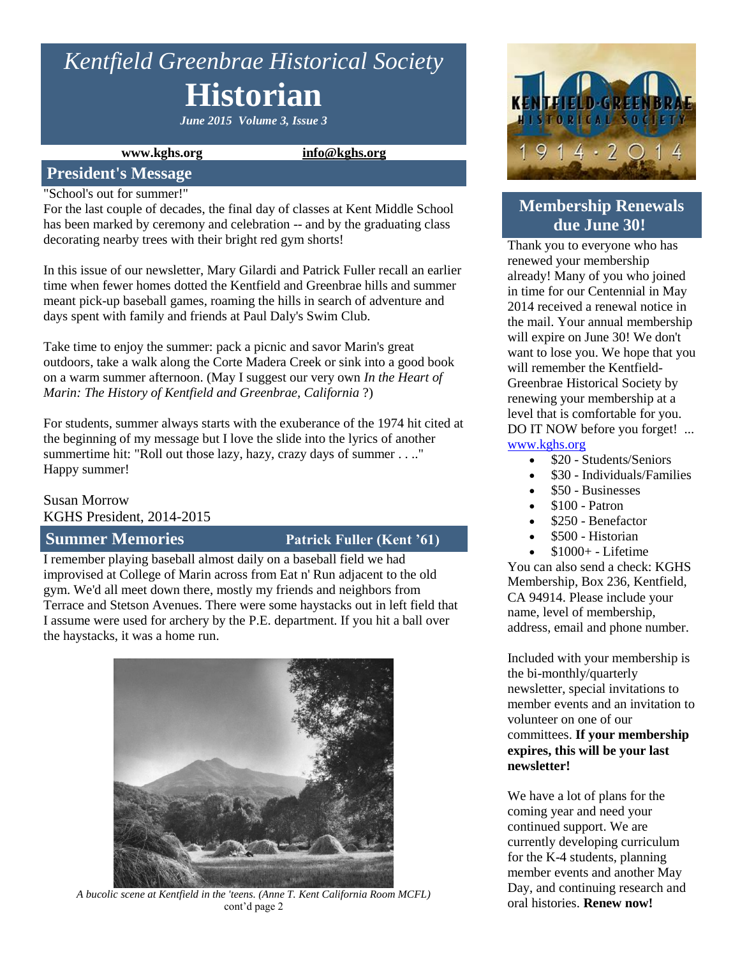# *Kentfield Greenbrae Historical Society* **Historian**

*June 2015 Volume 3, Issue 3*

**www.kghs.org [info@kghs.org](mailto:info@kghs.org)**

### **President's Message**

### "School's out for summer!"

For the last couple of decades, the final day of classes at Kent Middle School has been marked by ceremony and celebration -- and by the graduating class decorating nearby trees with their bright red gym shorts!

In this issue of our newsletter, Mary Gilardi and Patrick Fuller recall an earlier time when fewer homes dotted the Kentfield and Greenbrae hills and summer meant pick-up baseball games, roaming the hills in search of adventure and days spent with family and friends at Paul Daly's Swim Club.

Take time to enjoy the summer: pack a picnic and savor Marin's great outdoors, take a walk along the Corte Madera Creek or sink into a good book on a warm summer afternoon. (May I suggest our very own *In the Heart of Marin: The History of Kentfield and Greenbrae, California* ?)

For students, summer always starts with the exuberance of the 1974 hit cited at the beginning of my message but I love the slide into the lyrics of another summertime hit: "Roll out those lazy, hazy, crazy days of summer . . .." Happy summer!

### Susan Morrow

KGHS President, 2014-2015

### **Summer Memories Patrick Fuller (Kent '61)**

I remember playing baseball almost daily on a baseball field we had improvised at College of Marin across from Eat n' Run adjacent to the old gym. We'd all meet down there, mostly my friends and neighbors from Terrace and Stetson Avenues. There were some haystacks out in left field that I assume were used for archery by the P.E. department. If you hit a ball over the haystacks, it was a home run.



*A bucolic scene at Kentfield in the 'teens. (Anne T. Kent California Room MCFL)* cont'd page 2



# **Membership Renewals due June 30!**

Thank you to everyone who has renewed your membership already! Many of you who joined in time for our Centennial in May 2014 received a renewal notice in the mail. Your annual membership will expire on June 30! We don't want to lose you. We hope that you will remember the Kentfield-Greenbrae Historical Society by renewing your membership at a level that is comfortable for you. DO IT NOW before you forget! ... [www.kghs.org](http://www.kghs.org/)

- \$20 Students/Seniors
- \$30 Individuals/Families
- \$50 Businesses
- $\bullet$  \$100 Patron
- \$250 Benefactor
- \$500 Historian
- \$1000+ Lifetime

You can also send a check: KGHS Membership, Box 236, Kentfield, CA 94914. Please include your name, level of membership, address, email and phone number.

Included with your membership is the bi-monthly/quarterly newsletter, special invitations to member events and an invitation to volunteer on one of our committees. **If your membership expires, this will be your last newsletter!**

We have a lot of plans for the coming year and need your continued support. We are currently developing curriculum for the K-4 students, planning member events and another May Day, and continuing research and oral histories. **Renew now!**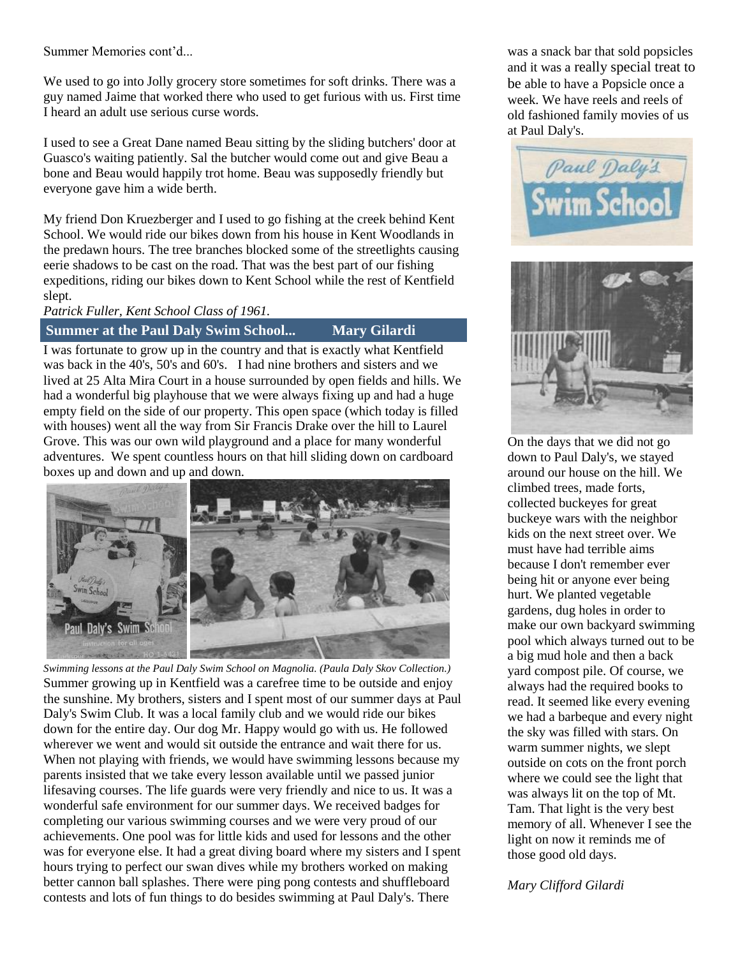Summer Memories cont'd...

We used to go into Jolly grocery store sometimes for soft drinks. There was a guy named Jaime that worked there who used to get furious with us. First time I heard an adult use serious curse words.

I used to see a Great Dane named Beau sitting by the sliding butchers' door at Guasco's waiting patiently. Sal the butcher would come out and give Beau a bone and Beau would happily trot home. Beau was supposedly friendly but everyone gave him a wide berth.

My friend Don Kruezberger and I used to go fishing at the creek behind Kent School. We would ride our bikes down from his house in Kent Woodlands in the predawn hours. The tree branches blocked some of the streetlights causing eerie shadows to be cast on the road. That was the best part of our fishing expeditions, riding our bikes down to Kent School while the rest of Kentfield slept.

*Patrick Fuller, Kent School Class of 1961.*

### **Summer at the Paul Daly Swim School... Mary Gilardi**

I was fortunate to grow up in the country and that is exactly what Kentfield was back in the 40's, 50's and 60's. I had nine brothers and sisters and we lived at 25 Alta Mira Court in a house surrounded by open fields and hills. We had a wonderful big playhouse that we were always fixing up and had a huge empty field on the side of our property. This open space (which today is filled with houses) went all the way from Sir Francis Drake over the hill to Laurel Grove. This was our own wild playground and a place for many wonderful adventures. We spent countless hours on that hill sliding down on cardboard boxes up and down and up and down.



*Swimming lessons at the Paul Daly Swim School on Magnolia. (Paula Daly Skov Collection.)* Summer growing up in Kentfield was a carefree time to be outside and enjoy the sunshine. My brothers, sisters and I spent most of our summer days at Paul Daly's Swim Club. It was a local family club and we would ride our bikes down for the entire day. Our dog Mr. Happy would go with us. He followed wherever we went and would sit outside the entrance and wait there for us. When not playing with friends, we would have swimming lessons because my parents insisted that we take every lesson available until we passed junior lifesaving courses. The life guards were very friendly and nice to us. It was a wonderful safe environment for our summer days. We received badges for completing our various swimming courses and we were very proud of our achievements. One pool was for little kids and used for lessons and the other was for everyone else. It had a great diving board where my sisters and I spent hours trying to perfect our swan dives while my brothers worked on making better cannon ball splashes. There were ping pong contests and shuffleboard contests and lots of fun things to do besides swimming at Paul Daly's. There

was a snack bar that sold popsicles and it was a really special treat to be able to have a Popsicle once a week. We have reels and reels of old fashioned family movies of us at Paul Daly's.





On the days that we did not go down to Paul Daly's, we stayed around our house on the hill. We climbed trees, made forts, collected buckeyes for great buckeye wars with the neighbor kids on the next street over. We must have had terrible aims because I don't remember ever being hit or anyone ever being hurt. We planted vegetable gardens, dug holes in order to make our own backyard swimming pool which always turned out to be a big mud hole and then a back yard compost pile. Of course, we always had the required books to read. It seemed like every evening we had a barbeque and every night the sky was filled with stars. On warm summer nights, we slept outside on cots on the front porch where we could see the light that was always lit on the top of Mt. Tam. That light is the very best memory of all. Whenever I see the light on now it reminds me of those good old days.

*Mary Clifford Gilardi*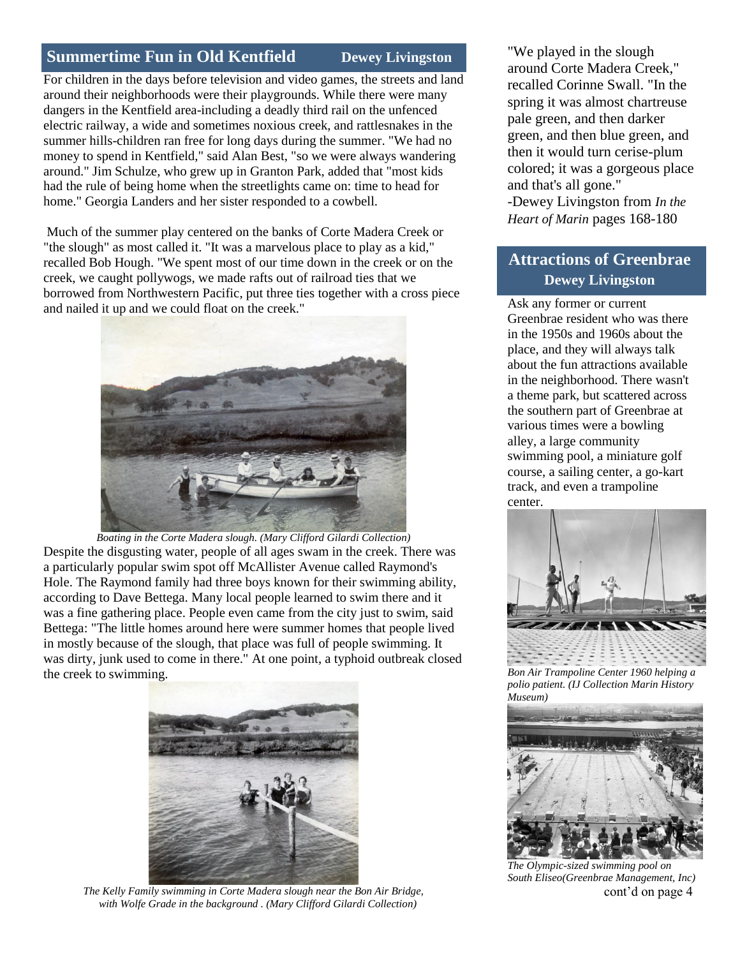### **Summertime Fun in Old Kentfield Dewey Livingston**

For children in the days before television and video games, the streets and land around their neighborhoods were their playgrounds. While there were many dangers in the Kentfield area-including a deadly third rail on the unfenced electric railway, a wide and sometimes noxious creek, and rattlesnakes in the summer hills-children ran free for long days during the summer. "We had no money to spend in Kentfield," said Alan Best, "so we were always wandering around." Jim Schulze, who grew up in Granton Park, added that "most kids had the rule of being home when the streetlights came on: time to head for home." Georgia Landers and her sister responded to a cowbell.

Much of the summer play centered on the banks of Corte Madera Creek or "the slough" as most called it. "It was a marvelous place to play as a kid," recalled Bob Hough. "We spent most of our time down in the creek or on the creek, we caught pollywogs, we made rafts out of railroad ties that we borrowed from Northwestern Pacific, put three ties together with a cross piece and nailed it up and we could float on the creek."



*Boating in the Corte Madera slough. (Mary Clifford Gilardi Collection)* Despite the disgusting water, people of all ages swam in the creek. There was a particularly popular swim spot off McAllister Avenue called Raymond's Hole. The Raymond family had three boys known for their swimming ability, according to Dave Bettega. Many local people learned to swim there and it was a fine gathering place. People even came from the city just to swim, said Bettega: "The little homes around here were summer homes that people lived in mostly because of the slough, that place was full of people swimming. It was dirty, junk used to come in there." At one point, a typhoid outbreak closed the creek to swimming.



*The Kelly Family swimming in Corte Madera slough near the Bon Air Bridge, with Wolfe Grade in the background . (Mary Clifford Gilardi Collection)*

"We played in the slough around Corte Madera Creek," recalled Corinne Swall. "In the spring it was almost chartreuse pale green, and then darker green, and then blue green, and then it would turn cerise-plum colored; it was a gorgeous place and that's all gone."

-Dewey Livingston from *In the Heart of Marin* pages 168-180

# **Attractions of Greenbrae Dewey Livingston**

Ask any former or current Greenbrae resident who was there in the 1950s and 1960s about the place, and they will always talk about the fun attractions available in the neighborhood. There wasn't a theme park, but scattered across the southern part of Greenbrae at various times were a bowling alley, a large community swimming pool, a miniature golf course, a sailing center, a go-kart track, and even a trampoline center.



*Bon Air Trampoline Center 1960 helping a polio patient. (IJ Collection Marin History Museum)* 



*The Olympic-sized swimming pool on South Eliseo(Greenbrae Management, Inc)* cont'd on page 4